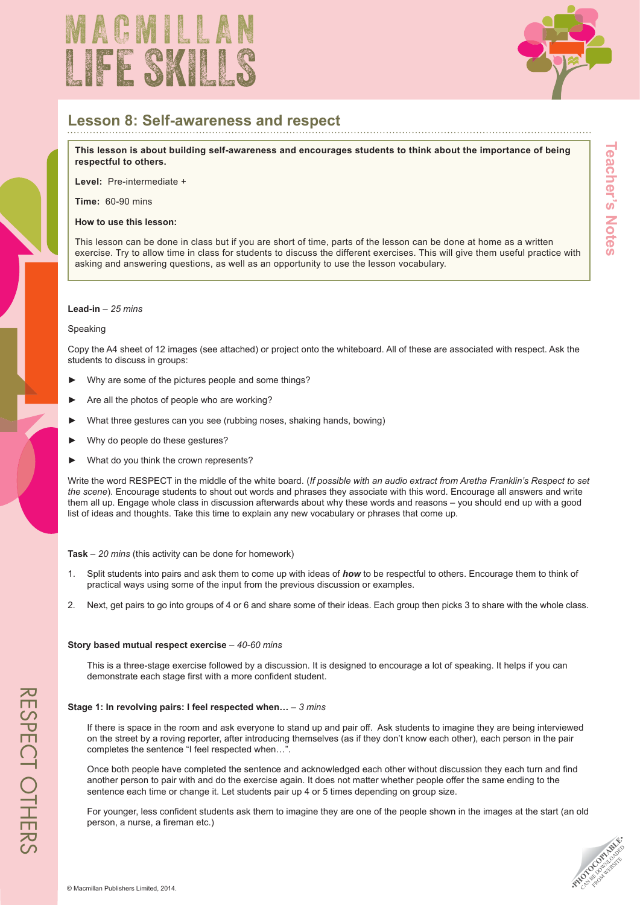



## **Lesson 8: Self-awareness and respect**

**This lesson is about building self-awareness and encourages students to think about the importance of being respectful to others.** 

**Level:** Pre-intermediate +

**Time:** 60-90 mins

#### **How to use this lesson:**

This lesson can be done in class but if you are short of time, parts of the lesson can be done at home as a written exercise. Try to allow time in class for students to discuss the different exercises. This will give them useful practice with asking and answering questions, as well as an opportunity to use the lesson vocabulary.

#### **Lead-in** – *25 mins*

#### Speaking

Copy the A4 sheet of 12 images (see attached) or project onto the whiteboard. All of these are associated with respect. Ask the students to discuss in groups:

- Why are some of the pictures people and some things?
- Are all the photos of people who are working?
- What three gestures can you see (rubbing noses, shaking hands, bowing)
- ► Why do people do these gestures?
- What do you think the crown represents?

Write the word RESPECT in the middle of the white board. (*If possible with an audio extract from Aretha Franklin's Respect to set the scene*). Encourage students to shout out words and phrases they associate with this word. Encourage all answers and write them all up. Engage whole class in discussion afterwards about why these words and reasons – you should end up with a good list of ideas and thoughts. Take this time to explain any new vocabulary or phrases that come up.

### **Task** – *20 mins* (this activity can be done for homework)

- 1. Split students into pairs and ask them to come up with ideas of *how* to be respectful to others. Encourage them to think of practical ways using some of the input from the previous discussion or examples.
- 2. Next, get pairs to go into groups of 4 or 6 and share some of their ideas. Each group then picks 3 to share with the whole class.

### **Story based mutual respect exercise** – *40-60 mins*

This is a three-stage exercise followed by a discussion. It is designed to encourage a lot of speaking. It helps if you can demonstrate each stage first with a more confident student.

### **Stage 1: In revolving pairs: I feel respected when…** – *3 mins*

If there is space in the room and ask everyone to stand up and pair off. Ask students to imagine they are being interviewed on the street by a roving reporter, after introducing themselves (as if they don't know each other), each person in the pair completes the sentence "I feel respected when…".

Once both people have completed the sentence and acknowledged each other without discussion they each turn and find another person to pair with and do the exercise again. It does not matter whether people offer the same ending to the sentence each time or change it. Let students pair up 4 or 5 times depending on group size.

For younger, less confident students ask them to imagine they are one of the people shown in the images at the start (an old person, a nurse, a fireman etc.)



**Teacher's Notes**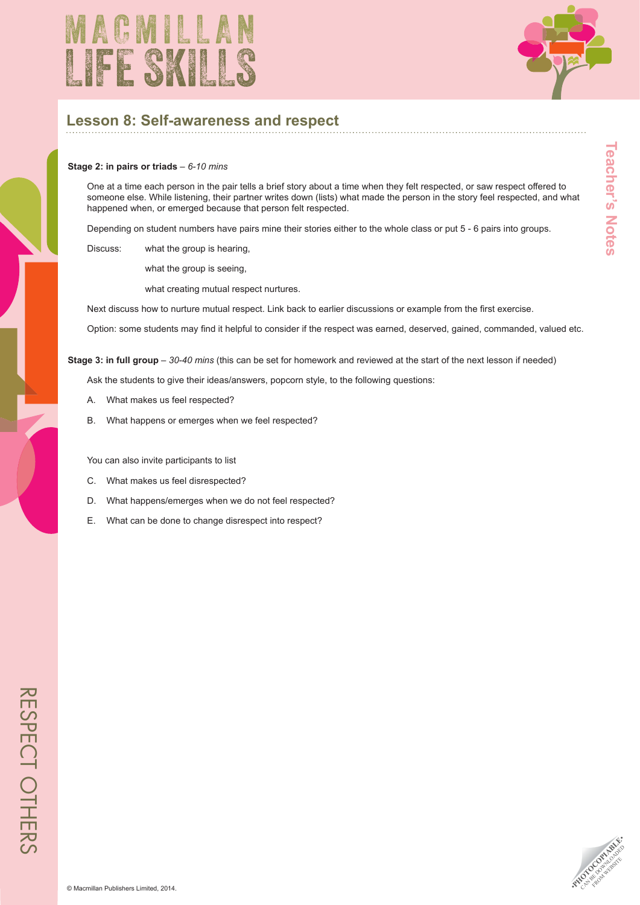



**Teacher's Notes** 

# **Lesson 8: Self-awareness and respect**

#### **Stage 2: in pairs or triads** – *6-10 mins*

One at a time each person in the pair tells a brief story about a time when they felt respected, or saw respect offered to someone else. While listening, their partner writes down (lists) what made the person in the story feel respected, and what happened when, or emerged because that person felt respected.

Depending on student numbers have pairs mine their stories either to the whole class or put 5 - 6 pairs into groups.

Discuss: what the group is hearing,

what the group is seeing,

what creating mutual respect nurtures.

Next discuss how to nurture mutual respect. Link back to earlier discussions or example from the first exercise.

Option: some students may find it helpful to consider if the respect was earned, deserved, gained, commanded, valued etc.

**Stage 3: in full group** – *30-40 mins* (this can be set for homework and reviewed at the start of the next lesson if needed)

Ask the students to give their ideas/answers, popcorn style, to the following questions:

- A. What makes us feel respected?
- B. What happens or emerges when we feel respected?

You can also invite participants to list

- C. What makes us feel disrespected?
- D. What happens/emerges when we do not feel respected?
- E. What can be done to change disrespect into respect?